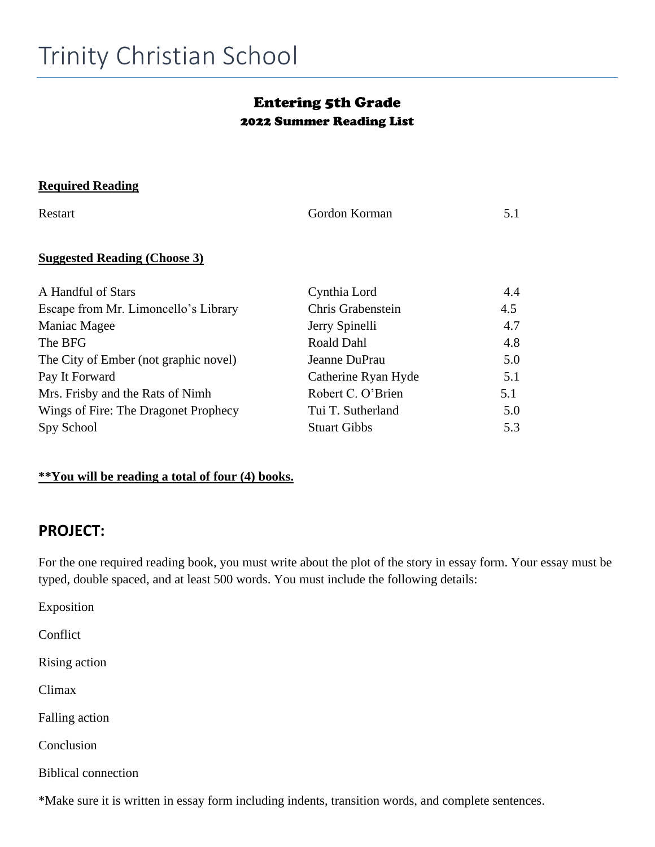### Entering 5th Grade 2022 Summer Reading List

#### **Required Reading**

| Restart                               | Gordon Korman       | 5.1 |
|---------------------------------------|---------------------|-----|
| <b>Suggested Reading (Choose 3)</b>   |                     |     |
| A Handful of Stars                    | Cynthia Lord        | 4.4 |
| Escape from Mr. Limoncello's Library  | Chris Grabenstein   | 4.5 |
| Maniac Magee                          | Jerry Spinelli      | 4.7 |
| The BFG                               | <b>Roald Dahl</b>   | 4.8 |
| The City of Ember (not graphic novel) | Jeanne DuPrau       | 5.0 |
| Pay It Forward                        | Catherine Ryan Hyde | 5.1 |
| Mrs. Frisby and the Rats of Nimh      | Robert C. O'Brien   | 5.1 |
| Wings of Fire: The Dragonet Prophecy  | Tui T. Sutherland   | 5.0 |
| Spy School                            | <b>Stuart Gibbs</b> | 5.3 |

#### **\*\*You will be reading a total of four (4) books.**

## **PROJECT:**

For the one required reading book, you must write about the plot of the story in essay form. Your essay must be typed, double spaced, and at least 500 words. You must include the following details:

Exposition

Conflict

Rising action

Climax

Falling action

Conclusion

Biblical connection

\*Make sure it is written in essay form including indents, transition words, and complete sentences.